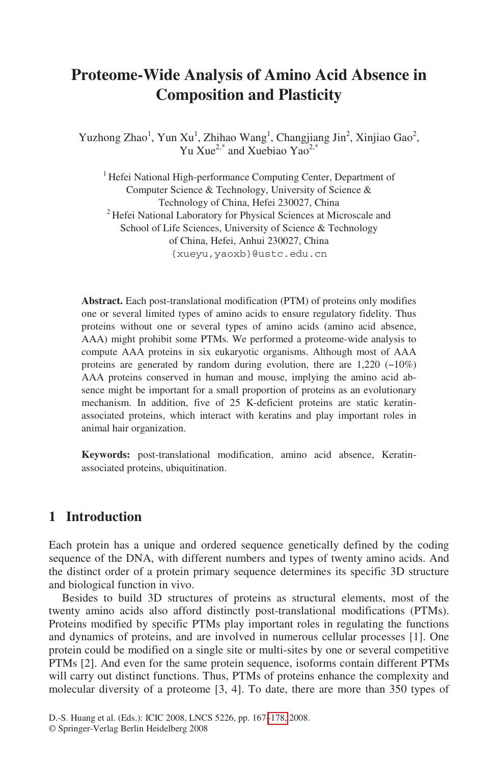# **Proteome-Wide Analysis of Amino Acid Absence in Composition and Plasticity**

Yuzhong Zhao<sup>1</sup>, Yun Xu<sup>1</sup>, Zhihao Wang<sup>1</sup>, Changjiang Jin<sup>2</sup>, Xinjiao Gao<sup>2</sup>, Yu Xue<sup>2,\*</sup> and Xuebiao Yao<sup>2,</sup>

<sup>1</sup> Hefei National High-performance Computing Center, Department of Computer Science & Technology, University of Science & Technology of China, Hefei 230027, China 2 Hefei National Laboratory for Physical Sciences at Microscale and School of Life Sciences, University of Science & Technology of China, Hefei, Anhui 230027, China {xueyu,yaoxb}@ustc.edu.cn

**Abstract.** Each post-translational modification (PTM) of proteins only modifies one or several limited types of amino acids to ensure regulatory fidelity. Thus proteins without one or several types of amino acids (amino acid absence, AAA) might prohibit some PTMs. We performed a proteome-wide analysis to compute AAA proteins in six eukaryotic organisms. Although most of AAA proteins are generated by random during evolution, there are  $1,220$  ( $\sim$ 10%) AAA proteins conserved in human and mouse, implying the amino acid absence might be important for a small proportion of proteins as an evolutionary mechanism. In addition, five of 25 K-deficient proteins are static keratinassociated proteins, which interact with keratins and play important roles in animal hair organization.

**Keywords:** post-translational modification, amino acid absence, Keratinassociated proteins, ubiquitination.

### **1 Introduction**

Each protein has a unique and ordered sequence genetically defined by the coding sequence of the DNA, with different numbers and types of twenty amino acids. And the distinct order of a protein primary sequence determines its specific 3D structure and biological function in vivo.

Besides to build 3D structures of proteins as structural elements, most of the twenty amino acids also [affor](#page-11-0)d distinctly post-translational modifications (PTMs). Proteins modified by specific PTMs play important roles in regulating the functions and dynamics of proteins, and are involved in numerous cellular processes [1]. One protein could be modified on a single site or multi-sites by one or several competitive PTMs [2]. And even for the same protein sequence, isoforms contain different PTMs will carry out distinct functions. Thus, PTMs of proteins enhance the complexity and molecular diversity of a proteome [3, 4]. To date, there are more than 350 types of

D.-S. Huang et al. (Eds.): ICIC 2008, LNCS 5226, pp. 167–178, 2008.

<sup>©</sup> Springer-Verlag Berlin Heidelberg 2008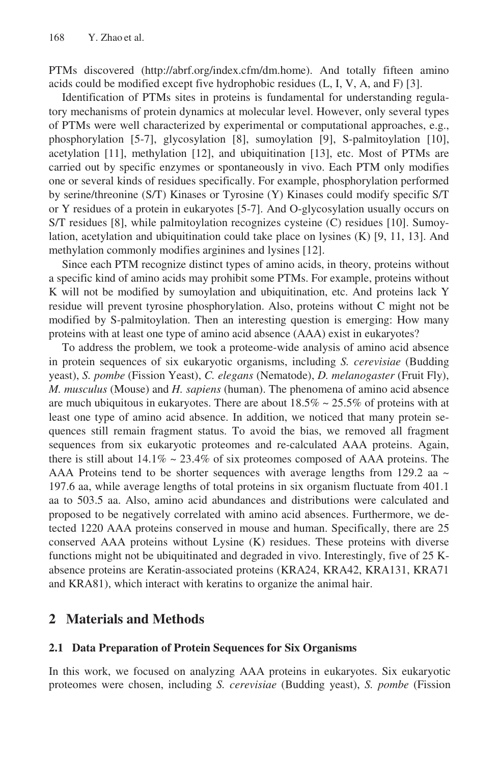PTMs discovered (http://abrf.org/index.cfm/dm.home). And totally fifteen amino acids could be modified except five hydrophobic residues (L, I, V, A, and F) [3].

Identification of PTMs sites in proteins is fundamental for understanding regulatory mechanisms of protein dynamics at molecular level. However, only several types of PTMs were well characterized by experimental or computational approaches, e.g., phosphorylation [5-7], glycosylation [8], sumoylation [9], S-palmitoylation [10], acetylation [11], methylation [12], and ubiquitination [13], etc. Most of PTMs are carried out by specific enzymes or spontaneously in vivo. Each PTM only modifies one or several kinds of residues specifically. For example, phosphorylation performed by serine/threonine (S/T) Kinases or Tyrosine (Y) Kinases could modify specific S/T or Y residues of a protein in eukaryotes [5-7]. And O-glycosylation usually occurs on S/T residues [8], while palmitoylation recognizes cysteine (C) residues [10]. Sumoylation, acetylation and ubiquitination could take place on lysines (K) [9, 11, 13]. And methylation commonly modifies arginines and lysines [12].

Since each PTM recognize distinct types of amino acids, in theory, proteins without a specific kind of amino acids may prohibit some PTMs. For example, proteins without K will not be modified by sumoylation and ubiquitination, etc. And proteins lack Y residue will prevent tyrosine phosphorylation. Also, proteins without C might not be modified by S-palmitoylation. Then an interesting question is emerging: How many proteins with at least one type of amino acid absence (AAA) exist in eukaryotes?

To address the problem, we took a proteome-wide analysis of amino acid absence in protein sequences of six eukaryotic organisms, including *S. cerevisiae* (Budding yeast), *S. pombe* (Fission Yeast), *C. elegans* (Nematode), *D. melanogaster* (Fruit Fly), *M. musculus* (Mouse) and *H. sapiens* (human). The phenomena of amino acid absence are much ubiquitous in eukaryotes. There are about  $18.5\% \sim 25.5\%$  of proteins with at least one type of amino acid absence. In addition, we noticed that many protein sequences still remain fragment status. To avoid the bias, we removed all fragment sequences from six eukaryotic proteomes and re-calculated AAA proteins. Again, there is still about  $14.1\% \sim 23.4\%$  of six proteomes composed of AAA proteins. The AAA Proteins tend to be shorter sequences with average lengths from 129.2 aa  $\sim$ 197.6 aa, while average lengths of total proteins in six organism fluctuate from 401.1 aa to 503.5 aa. Also, amino acid abundances and distributions were calculated and proposed to be negatively correlated with amino acid absences. Furthermore, we detected 1220 AAA proteins conserved in mouse and human. Specifically, there are 25 conserved AAA proteins without Lysine (K) residues. These proteins with diverse functions might not be ubiquitinated and degraded in vivo. Interestingly, five of 25 Kabsence proteins are Keratin-associated proteins (KRA24, KRA42, KRA131, KRA71 and KRA81), which interact with keratins to organize the animal hair.

## **2 Materials and Methods**

### **2.1 Data Preparation of Protein Sequences for Six Organisms**

In this work, we focused on analyzing AAA proteins in eukaryotes. Six eukaryotic proteomes were chosen, including *S. cerevisiae* (Budding yeast), *S. pombe* (Fission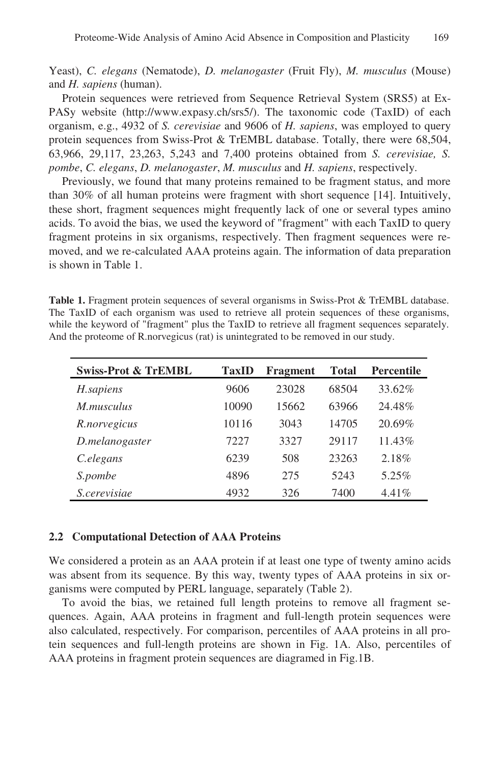Yeast), *C. elegans* (Nematode), *D. melanogaster* (Fruit Fly), *M. musculus* (Mouse) and *H. sapiens* (human).

Protein sequences were retrieved from Sequence Retrieval System (SRS5) at Ex-PASy website (http://www.expasy.ch/srs5/). The taxonomic code (TaxID) of each organism, e.g., 4932 of *S. cerevisiae* and 9606 of *H. sapiens*, was employed to query protein sequences from Swiss-Prot & TrEMBL database. Totally, there were 68,504, 63,966, 29,117, 23,263, 5,243 and 7,400 proteins obtained from *S. cerevisiae, S. pombe*, *C. elegans*, *D. melanogaster*, *M. musculus* and *H. sapiens*, respectively.

Previously, we found that many proteins remained to be fragment status, and more than 30% of all human proteins were fragment with short sequence [14]. Intuitively, these short, fragment sequences might frequently lack of one or several types amino acids. To avoid the bias, we used the keyword of "fragment" with each TaxID to query fragment proteins in six organisms, respectively. Then fragment sequences were removed, and we re-calculated AAA proteins again. The information of data preparation is shown in Table 1.

Table 1. Fragment protein sequences of several organisms in Swiss-Prot & TrEMBL database. The TaxID of each organism was used to retrieve all protein sequences of these organisms, while the keyword of "fragment" plus the TaxID to retrieve all fragment sequences separately. And the proteome of R.norvegicus (rat) is unintegrated to be removed in our study.

| <b>Swiss-Prot &amp; TrEMBL</b> | <b>TaxID</b> | Fragment | <b>Total</b> | <b>Percentile</b> |
|--------------------------------|--------------|----------|--------------|-------------------|
| H.sapiens                      | 9606         | 23028    | 68504        | 33.62%            |
| M.musculus                     | 10090        | 15662    | 63966        | 24.48%            |
| R.norvegicus                   | 10116        | 3043     | 14705        | 20.69%            |
| D.melanogaster                 | 7227         | 3327     | 29117        | 11.43%            |
| C.elegans                      | 6239         | 508      | 23263        | 2.18%             |
| S.pombe                        | 4896         | 275      | 5243         | 5.25%             |
| S.cerevisiae                   | 4932         | 326      | 7400         | 4.41%             |

#### **2.2 Computational Detection of AAA Proteins**

We considered a protein as an AAA protein if at least one type of twenty amino acids was absent from its sequence. By this way, twenty types of AAA proteins in six organisms were computed by PERL language, separately (Table 2).

To avoid the bias, we retained full length proteins to remove all fragment sequences. Again, AAA proteins in fragment and full-length protein sequences were also calculated, respectively. For comparison, percentiles of AAA proteins in all protein sequences and full-length proteins are shown in Fig. 1A. Also, percentiles of AAA proteins in fragment protein sequences are diagramed in Fig.1B.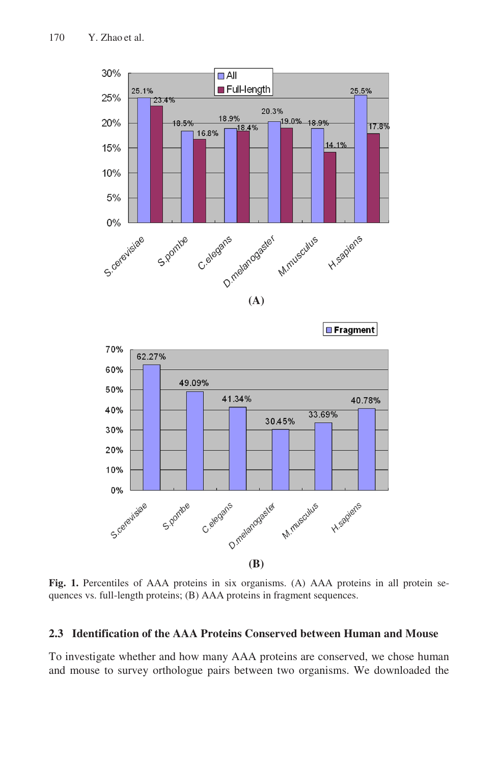

**Fig. 1.** Percentiles of AAA proteins in six organisms. (A) AAA proteins in all protein sequences vs. full-length proteins; (B) AAA proteins in fragment sequences.

**(B)** 

### **2.3 Identification of the AAA Proteins Conserved between Human and Mouse**

To investigate whether and how many AAA proteins are conserved, we chose human and mouse to survey orthologue pairs between two organisms. We downloaded the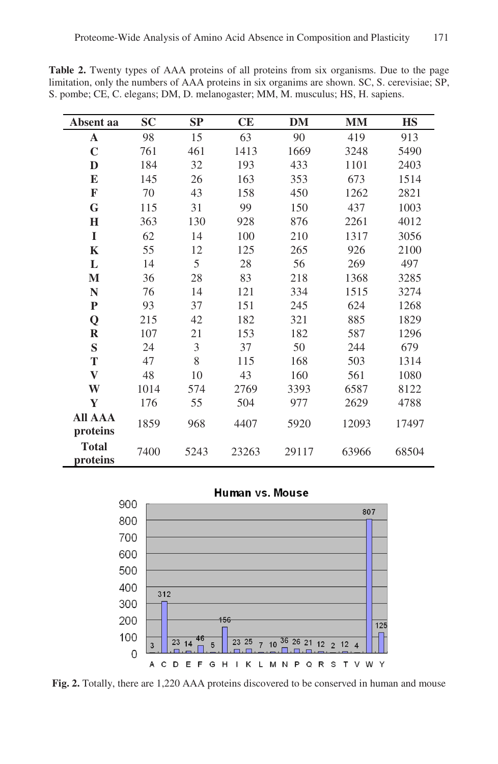| Absent aa                  | <b>SC</b> | SP   | <b>CE</b> | DM    | MM    | <b>HS</b> |
|----------------------------|-----------|------|-----------|-------|-------|-----------|
| $\mathbf A$                | 98        | 15   | 63        | 90    | 419   | 913       |
| $\mathbf C$                | 761       | 461  | 1413      | 1669  | 3248  | 5490      |
| D                          | 184       | 32   | 193       | 433   | 1101  | 2403      |
| E                          | 145       | 26   | 163       | 353   | 673   | 1514      |
| F                          | 70        | 43   | 158       | 450   | 1262  | 2821      |
| G                          | 115       | 31   | 99        | 150   | 437   | 1003      |
| H                          | 363       | 130  | 928       | 876   | 2261  | 4012      |
| I                          | 62        | 14   | 100       | 210   | 1317  | 3056      |
| K                          | 55        | 12   | 125       | 265   | 926   | 2100      |
| L                          | 14        | 5    | 28        | 56    | 269   | 497       |
| M                          | 36        | 28   | 83        | 218   | 1368  | 3285      |
| ${\bf N}$                  | 76        | 14   | 121       | 334   | 1515  | 3274      |
| ${\bf P}$                  | 93        | 37   | 151       | 245   | 624   | 1268      |
| Q                          | 215       | 42   | 182       | 321   | 885   | 1829      |
| $\bf R$                    | 107       | 21   | 153       | 182   | 587   | 1296      |
| S                          | 24        | 3    | 37        | 50    | 244   | 679       |
| T                          | 47        | 8    | 115       | 168   | 503   | 1314      |
| $\boldsymbol{\mathrm{V}}$  | 48        | 10   | 43        | 160   | 561   | 1080      |
| W                          | 1014      | 574  | 2769      | 3393  | 6587  | 8122      |
| Y                          | 176       | 55   | 504       | 977   | 2629  | 4788      |
| <b>All AAA</b><br>proteins | 1859      | 968  | 4407      | 5920  | 12093 | 17497     |
| <b>Total</b><br>proteins   | 7400      | 5243 | 23263     | 29117 | 63966 | 68504     |

**Table 2.** Twenty types of AAA proteins of all proteins from six organisms. Due to the page limitation, only the numbers of AAA proteins in six organims are shown. SC, S. cerevisiae; SP, S. pombe; CE, C. elegans; DM, D. melanogaster; MM, M. musculus; HS, H. sapiens.



**Fig. 2.** Totally, there are 1,220 AAA proteins discovered to be conserved in human and mouse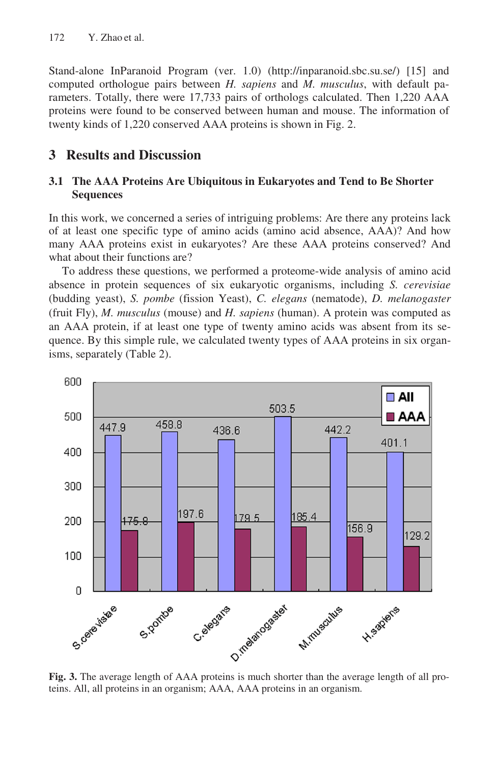Stand-alone InParanoid Program (ver. 1.0) (http://inparanoid.sbc.su.se/) [15] and computed orthologue pairs between *H. sapiens* and *M. musculus*, with default parameters. Totally, there were 17,733 pairs of orthologs calculated. Then 1,220 AAA proteins were found to be conserved between human and mouse. The information of twenty kinds of 1,220 conserved AAA proteins is shown in Fig. 2.

### **3 Results and Discussion**

### **3.1 The AAA Proteins Are Ubiquitous in Eukaryotes and Tend to Be Shorter Sequences**

In this work, we concerned a series of intriguing problems: Are there any proteins lack of at least one specific type of amino acids (amino acid absence, AAA)? And how many AAA proteins exist in eukaryotes? Are these AAA proteins conserved? And what about their functions are?

To address these questions, we performed a proteome-wide analysis of amino acid absence in protein sequences of six eukaryotic organisms, including *S. cerevisiae* (budding yeast), *S. pombe* (fission Yeast), *C. elegans* (nematode), *D. melanogaster* (fruit Fly), *M. musculus* (mouse) and *H. sapiens* (human). A protein was computed as an AAA protein, if at least one type of twenty amino acids was absent from its sequence. By this simple rule, we calculated twenty types of AAA proteins in six organisms, separately (Table 2).



**Fig. 3.** The average length of AAA proteins is much shorter than the average length of all proteins. All, all proteins in an organism; AAA, AAA proteins in an organism.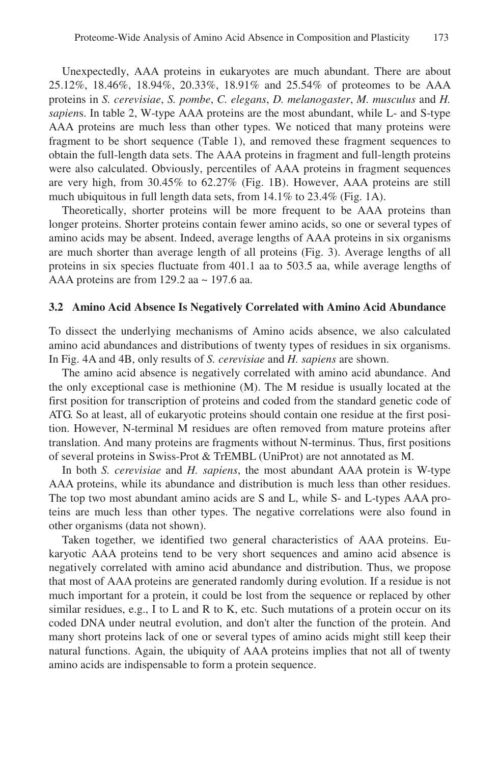Unexpectedly, AAA proteins in eukaryotes are much abundant. There are about 25.12%, 18.46%, 18.94%, 20.33%, 18.91% and 25.54% of proteomes to be AAA proteins in *S. cerevisiae*, *S. pombe*, *C. elegans*, *D. melanogaster*, *M. musculus* and *H. sapien*s. In table 2, W-type AAA proteins are the most abundant, while L- and S-type AAA proteins are much less than other types. We noticed that many proteins were fragment to be short sequence (Table 1), and removed these fragment sequences to obtain the full-length data sets. The AAA proteins in fragment and full-length proteins were also calculated. Obviously, percentiles of AAA proteins in fragment sequences are very high, from 30.45% to 62.27% (Fig. 1B). However, AAA proteins are still much ubiquitous in full length data sets, from 14.1% to 23.4% (Fig. 1A).

Theoretically, shorter proteins will be more frequent to be AAA proteins than longer proteins. Shorter proteins contain fewer amino acids, so one or several types of amino acids may be absent. Indeed, average lengths of AAA proteins in six organisms are much shorter than average length of all proteins (Fig. 3). Average lengths of all proteins in six species fluctuate from 401.1 aa to 503.5 aa, while average lengths of AAA proteins are from 129.2 aa ~ 197.6 aa.

#### **3.2 Amino Acid Absence Is Negatively Correlated with Amino Acid Abundance**

To dissect the underlying mechanisms of Amino acids absence, we also calculated amino acid abundances and distributions of twenty types of residues in six organisms. In Fig. 4A and 4B, only results of *S. cerevisiae* and *H. sapiens* are shown.

The amino acid absence is negatively correlated with amino acid abundance. And the only exceptional case is methionine (M). The M residue is usually located at the first position for transcription of proteins and coded from the standard genetic code of ATG. So at least, all of eukaryotic proteins should contain one residue at the first position. However, N-terminal M residues are often removed from mature proteins after translation. And many proteins are fragments without N-terminus. Thus, first positions of several proteins in Swiss-Prot & TrEMBL (UniProt) are not annotated as M.

In both *S. cerevisiae* and *H. sapiens*, the most abundant AAA protein is W-type AAA proteins, while its abundance and distribution is much less than other residues. The top two most abundant amino acids are S and L, while S- and L-types AAA proteins are much less than other types. The negative correlations were also found in other organisms (data not shown).

Taken together, we identified two general characteristics of AAA proteins. Eukaryotic AAA proteins tend to be very short sequences and amino acid absence is negatively correlated with amino acid abundance and distribution. Thus, we propose that most of AAA proteins are generated randomly during evolution. If a residue is not much important for a protein, it could be lost from the sequence or replaced by other similar residues, e.g., I to L and R to K, etc. Such mutations of a protein occur on its coded DNA under neutral evolution, and don't alter the function of the protein. And many short proteins lack of one or several types of amino acids might still keep their natural functions. Again, the ubiquity of AAA proteins implies that not all of twenty amino acids are indispensable to form a protein sequence.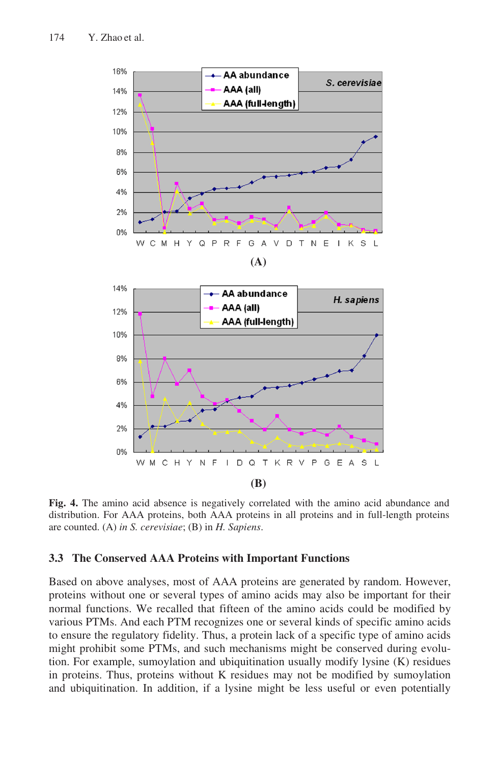

**Fig. 4.** The amino acid absence is negatively correlated with the amino acid abundance and distribution. For AAA proteins, both AAA proteins in all proteins and in full-length proteins are counted. (A) *in S. cerevisiae*; (B) in *H. Sapiens*.

### **3.3 The Conserved AAA Proteins with Important Functions**

Based on above analyses, most of AAA proteins are generated by random. However, proteins without one or several types of amino acids may also be important for their normal functions. We recalled that fifteen of the amino acids could be modified by various PTMs. And each PTM recognizes one or several kinds of specific amino acids to ensure the regulatory fidelity. Thus, a protein lack of a specific type of amino acids might prohibit some PTMs, and such mechanisms might be conserved during evolution. For example, sumoylation and ubiquitination usually modify lysine (K) residues in proteins. Thus, proteins without K residues may not be modified by sumoylation and ubiquitination. In addition, if a lysine might be less useful or even potentially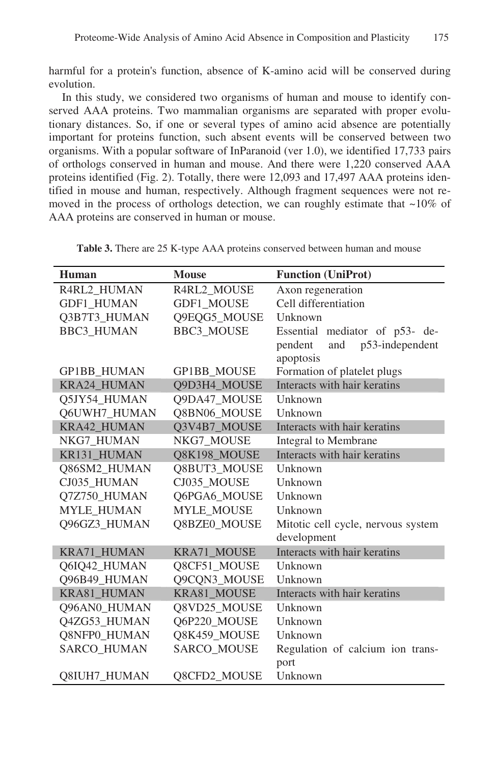harmful for a protein's function, absence of K-amino acid will be conserved during evolution.

In this study, we considered two organisms of human and mouse to identify conserved AAA proteins. Two mammalian organisms are separated with proper evolutionary distances. So, if one or several types of amino acid absence are potentially important for proteins function, such absent events will be conserved between two organisms. With a popular software of InParanoid (ver 1.0), we identified 17,733 pairs of orthologs conserved in human and mouse. And there were 1,220 conserved AAA proteins identified (Fig. 2). Totally, there were 12,093 and 17,497 AAA proteins identified in mouse and human, respectively. Although fragment sequences were not removed in the process of orthologs detection, we can roughly estimate that  $~10\%$  of AAA proteins are conserved in human or mouse.

| <b>Human</b>       | <b>Mouse</b>       | <b>Function (UniProt)</b>          |  |
|--------------------|--------------------|------------------------------------|--|
| R4RL2 HUMAN        | R4RL2 MOUSE        | Axon regeneration                  |  |
| <b>GDF1 HUMAN</b>  | <b>GDF1 MOUSE</b>  | Cell differentiation               |  |
| Q3B7T3 HUMAN       | Q9EQG5 MOUSE       | Unknown                            |  |
| <b>BBC3 HUMAN</b>  | <b>BBC3 MOUSE</b>  | Essential mediator of p53- de-     |  |
|                    |                    | pendent<br>and<br>p53-independent  |  |
|                    |                    | apoptosis                          |  |
| GP1BB_HUMAN        | <b>GP1BB MOUSE</b> | Formation of platelet plugs        |  |
| <b>KRA24 HUMAN</b> | Q9D3H4 MOUSE       | Interacts with hair keratins       |  |
| Q5JY54_HUMAN       | Q9DA47_MOUSE       | Unknown                            |  |
| Q6UWH7_HUMAN       | Q8BN06_MOUSE       | Unknown                            |  |
| <b>KRA42 HUMAN</b> | Q3V4B7_MOUSE       | Interacts with hair keratins       |  |
| NKG7_HUMAN         | NKG7_MOUSE         | Integral to Membrane               |  |
| KR131 HUMAN        | Q8K198 MOUSE       | Interacts with hair keratins       |  |
| Q86SM2_HUMAN       | Q8BUT3_MOUSE       | Unknown                            |  |
| CJ035 HUMAN        | CJ035 MOUSE        | Unknown                            |  |
| Q7Z750_HUMAN       | Q6PGA6_MOUSE       | Unknown                            |  |
| <b>MYLE HUMAN</b>  | <b>MYLE MOUSE</b>  | Unknown                            |  |
| Q96GZ3 HUMAN       | Q8BZE0 MOUSE       | Mitotic cell cycle, nervous system |  |
|                    |                    | development                        |  |
| KRA71_HUMAN        | KRA71_MOUSE        | Interacts with hair keratins       |  |
| Q6IQ42_HUMAN       | Q8CF51_MOUSE       | Unknown                            |  |
| Q96B49_HUMAN       | Q9CQN3_MOUSE       | Unknown                            |  |
| KRA81_HUMAN        | KRA81_MOUSE        | Interacts with hair keratins       |  |
| Q96AN0_HUMAN       | Q8VD25_MOUSE       | Unknown                            |  |
| Q4ZG53 HUMAN       | Q6P220_MOUSE       | Unknown                            |  |
| Q8NFP0_HUMAN       | Q8K459 MOUSE       | Unknown                            |  |
| SARCO_HUMAN        | SARCO_MOUSE        | Regulation of calcium ion trans-   |  |
|                    |                    | port                               |  |
| Q8IUH7_HUMAN       | Q8CFD2_MOUSE       | Unknown                            |  |

**Table 3.** There are 25 K-type AAA proteins conserved between human and mouse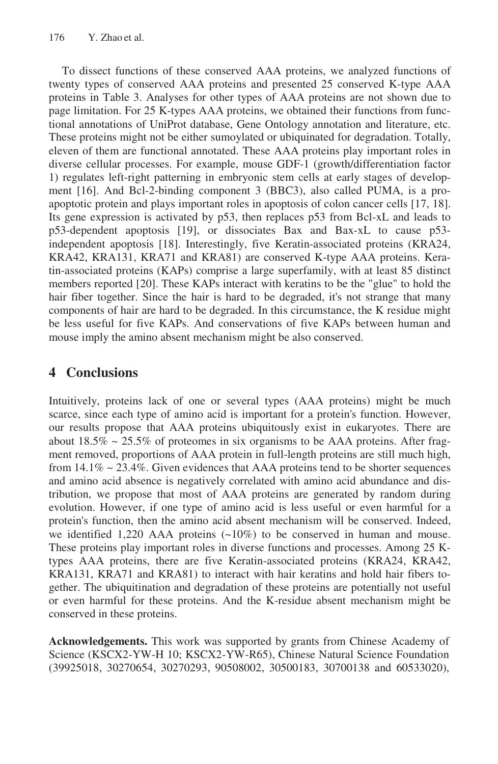To dissect functions of these conserved AAA proteins, we analyzed functions of twenty types of conserved AAA proteins and presented 25 conserved K-type AAA proteins in Table 3. Analyses for other types of AAA proteins are not shown due to page limitation. For 25 K-types AAA proteins, we obtained their functions from functional annotations of UniProt database, Gene Ontology annotation and literature, etc. These proteins might not be either sumoylated or ubiquinated for degradation. Totally, eleven of them are functional annotated. These AAA proteins play important roles in diverse cellular processes. For example, mouse GDF-1 (growth/differentiation factor 1) regulates left-right patterning in embryonic stem cells at early stages of development [16]. And Bcl-2-binding component 3 (BBC3), also called PUMA, is a proapoptotic protein and plays important roles in apoptosis of colon cancer cells [17, 18]. Its gene expression is activated by p53, then replaces p53 from Bcl-xL and leads to p53-dependent apoptosis [19], or dissociates Bax and Bax-xL to cause p53 independent apoptosis [18]. Interestingly, five Keratin-associated proteins (KRA24, KRA42, KRA131, KRA71 and KRA81) are conserved K-type AAA proteins. Keratin-associated proteins (KAPs) comprise a large superfamily, with at least 85 distinct members reported [20]. These KAPs interact with keratins to be the "glue" to hold the hair fiber together. Since the hair is hard to be degraded, it's not strange that many components of hair are hard to be degraded. In this circumstance, the K residue might be less useful for five KAPs. And conservations of five KAPs between human and mouse imply the amino absent mechanism might be also conserved.

## **4 Conclusions**

Intuitively, proteins lack of one or several types (AAA proteins) might be much scarce, since each type of amino acid is important for a protein's function. However, our results propose that AAA proteins ubiquitously exist in eukaryotes. There are about  $18.5\% \sim 25.5\%$  of proteomes in six organisms to be AAA proteins. After fragment removed, proportions of AAA protein in full-length proteins are still much high, from  $14.1\% \sim 23.4\%$ . Given evidences that AAA proteins tend to be shorter sequences and amino acid absence is negatively correlated with amino acid abundance and distribution, we propose that most of AAA proteins are generated by random during evolution. However, if one type of amino acid is less useful or even harmful for a protein's function, then the amino acid absent mechanism will be conserved. Indeed, we identified 1,220 AAA proteins  $(\sim 10\%)$  to be conserved in human and mouse. These proteins play important roles in diverse functions and processes. Among 25 Ktypes AAA proteins, there are five Keratin-associated proteins (KRA24, KRA42, KRA131, KRA71 and KRA81) to interact with hair keratins and hold hair fibers together. The ubiquitination and degradation of these proteins are potentially not useful or even harmful for these proteins. And the K-residue absent mechanism might be conserved in these proteins.

**Acknowledgements.** This work was supported by grants from Chinese Academy of Science (KSCX2-YW-H 10; KSCX2-YW-R65), Chinese Natural Science Foundation (39925018, 30270654, 30270293, 90508002, 30500183, 30700138 and 60533020),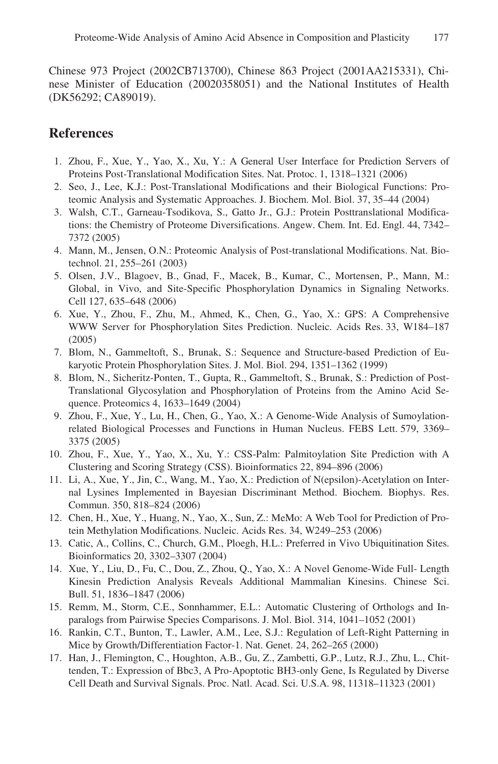Chinese 973 Project (2002CB713700), Chinese 863 Project (2001AA215331), Chinese Minister of Education (20020358051) and the National Institutes of Health (DK56292; CA89019).

### **References**

- 1. Zhou, F., Xue, Y., Yao, X., Xu, Y.: A General User Interface for Prediction Servers of Proteins Post-Translational Modification Sites. Nat. Protoc. 1, 1318–1321 (2006)
- 2. Seo, J., Lee, K.J.: Post-Translational Modifications and their Biological Functions: Proteomic Analysis and Systematic Approaches. J. Biochem. Mol. Biol. 37, 35–44 (2004)
- 3. Walsh, C.T., Garneau-Tsodikova, S., Gatto Jr., G.J.: Protein Posttranslational Modifications: the Chemistry of Proteome Diversifications. Angew. Chem. Int. Ed. Engl. 44, 7342– 7372 (2005)
- 4. Mann, M., Jensen, O.N.: Proteomic Analysis of Post-translational Modifications. Nat. Biotechnol. 21, 255–261 (2003)
- 5. Olsen, J.V., Blagoev, B., Gnad, F., Macek, B., Kumar, C., Mortensen, P., Mann, M.: Global, in Vivo, and Site-Specific Phosphorylation Dynamics in Signaling Networks. Cell 127, 635–648 (2006)
- 6. Xue, Y., Zhou, F., Zhu, M., Ahmed, K., Chen, G., Yao, X.: GPS: A Comprehensive WWW Server for Phosphorylation Sites Prediction. Nucleic. Acids Res. 33, W184–187 (2005)
- 7. Blom, N., Gammeltoft, S., Brunak, S.: Sequence and Structure-based Prediction of Eukaryotic Protein Phosphorylation Sites. J. Mol. Biol. 294, 1351–1362 (1999)
- 8. Blom, N., Sicheritz-Ponten, T., Gupta, R., Gammeltoft, S., Brunak, S.: Prediction of Post-Translational Glycosylation and Phosphorylation of Proteins from the Amino Acid Sequence. Proteomics 4, 1633–1649 (2004)
- 9. Zhou, F., Xue, Y., Lu, H., Chen, G., Yao, X.: A Genome-Wide Analysis of Sumoylationrelated Biological Processes and Functions in Human Nucleus. FEBS Lett. 579, 3369– 3375 (2005)
- 10. Zhou, F., Xue, Y., Yao, X., Xu, Y.: CSS-Palm: Palmitoylation Site Prediction with A Clustering and Scoring Strategy (CSS). Bioinformatics 22, 894–896 (2006)
- 11. Li, A., Xue, Y., Jin, C., Wang, M., Yao, X.: Prediction of N(epsilon)-Acetylation on Internal Lysines Implemented in Bayesian Discriminant Method. Biochem. Biophys. Res. Commun. 350, 818–824 (2006)
- 12. Chen, H., Xue, Y., Huang, N., Yao, X., Sun, Z.: MeMo: A Web Tool for Prediction of Protein Methylation Modifications. Nucleic. Acids Res. 34, W249–253 (2006)
- 13. Catic, A., Collins, C., Church, G.M., Ploegh, H.L.: Preferred in Vivo Ubiquitination Sites. Bioinformatics 20, 3302–3307 (2004)
- 14. Xue, Y., Liu, D., Fu, C., Dou, Z., Zhou, Q., Yao, X.: A Novel Genome-Wide Full- Length Kinesin Prediction Analysis Reveals Additional Mammalian Kinesins. Chinese Sci. Bull. 51, 1836–1847 (2006)
- 15. Remm, M., Storm, C.E., Sonnhammer, E.L.: Automatic Clustering of Orthologs and Inparalogs from Pairwise Species Comparisons. J. Mol. Biol. 314, 1041–1052 (2001)
- 16. Rankin, C.T., Bunton, T., Lawler, A.M., Lee, S.J.: Regulation of Left-Right Patterning in Mice by Growth/Differentiation Factor-1. Nat. Genet. 24, 262–265 (2000)
- 17. Han, J., Flemington, C., Houghton, A.B., Gu, Z., Zambetti, G.P., Lutz, R.J., Zhu, L., Chittenden, T.: Expression of Bbc3, A Pro-Apoptotic BH3-only Gene, Is Regulated by Diverse Cell Death and Survival Signals. Proc. Natl. Acad. Sci. U.S.A. 98, 11318–11323 (2001)